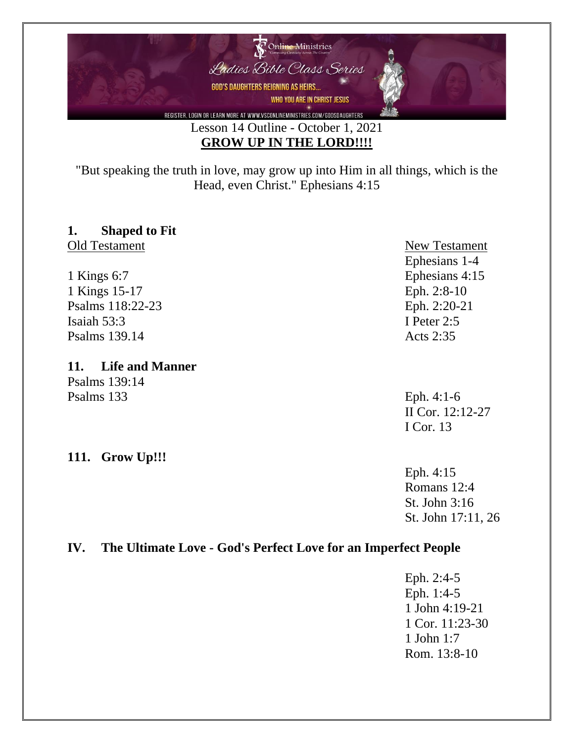

"But speaking the truth in love, may grow up into Him in all things, which is the Head, even Christ." Ephesians 4:15

## **1. Shaped to Fit**

1 Kings 6:7 Ephesians 4:15 1 Kings 15-17 Eph. 2:8-10 Psalms 118:22-23 Eph. 2:20-21 Isaiah 53:3 I Peter 2:5 Psalms 139.14 Acts 2:35

#### **11. Life and Manner**

Psalms 139:14 Psalms 133 Eph. 4:1-6

#### **111. Grow Up!!!**

Old Testament New Testament Ephesians 1-4

> II Cor. 12:12-27 I Cor. 13

Eph. 4:15 Romans 12:4 St. John 3:16 St. John 17:11, 26

### **IV. The Ultimate Love - God's Perfect Love for an Imperfect People**

Eph. 2:4-5 Eph. 1:4-5 1 John 4:19-21 1 Cor. 11:23-30 1 John 1:7 Rom. 13:8-10